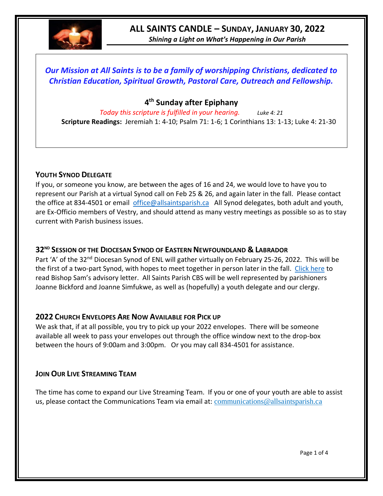

# **ALL SAINTS CANDLE – SUNDAY, JANUARY 30, 2022**

*Shining a Light on What's Happening in Our Parish*

## *Our Mission at All Saints is to be a family of worshipping Christians, dedicated to Christian Education, Spiritual Growth, Pastoral Care, Outreach and Fellowship.*

## **4 th Sunday after Epiphany**

*Today this scripture is fulfilled in your hearing. Luke 4: 21* **Scripture Readings:** Jeremiah 1: 4-10; Psalm 71: 1-6; 1 Corinthians 13: 1-13; Luke 4: 21-30

## **YOUTH SYNOD DELEGATE**

If you, or someone you know, are between the ages of 16 and 24, we would love to have you to represent our Parish at a virtual Synod call on Feb 25 & 26, and again later in the fall. Please contact the office at 834-4501 or email [office@allsaintsparish.ca](mailto:office@allsaintsparish.ca) All Synod delegates, both adult and youth, are Ex-Officio members of Vestry, and should attend as many vestry meetings as possible so as to stay current with Parish business issues.

## **32ND SESSION OF THE DIOCESAN SYNOD OF EASTERN NEWFOUNDLAND & LABRADOR**

Part 'A' of the 32<sup>nd</sup> Diocesan Synod of ENL will gather virtually on February 25-26, 2022. This will be the first of a two-part Synod, with hopes to meet together in person later in the fall. [Click here](https://www.facebook.com/AnglicanEastNL/photos/pcb.5565092873509066/5565092763509077) to read Bishop Sam's advisory letter. All Saints Parish CBS will be well represented by parishioners Joanne Bickford and Joanne Simfukwe, as well as (hopefully) a youth delegate and our clergy.

## **2022 CHURCH ENVELOPES ARE NOW AVAILABLE FOR PICK UP**

We ask that, if at all possible, you try to pick up your 2022 envelopes. There will be someone available all week to pass your envelopes out through the office window next to the drop-box between the hours of 9:00am and 3:00pm. Or you may call 834-4501 for assistance.

## **JOIN OUR LIVE STREAMING TEAM**

The time has come to expand our Live Streaming Team. If you or one of your youth are able to assist us, please contact the Communications Team via email at: [communications@allsaintsparish.ca](mailto:communications@allsaintsparish.ca?subject=Live%20Streaming%20Team)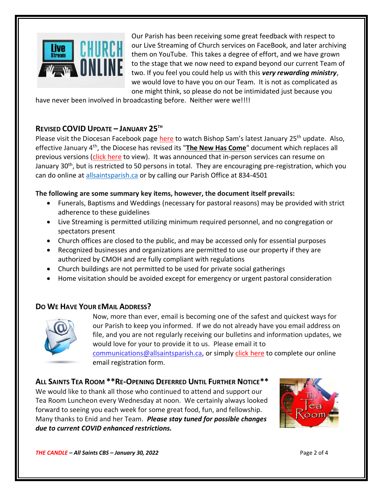

Our Parish has been receiving some great feedback with respect to our Live Streaming of Church services on FaceBook, and later archiving them on YouTube. This takes a degree of effort, and we have grown to the stage that we now need to expand beyond our current Team of two. If you feel you could help us with this *very rewarding ministry*, we would love to have you on our Team. It is not as complicated as one might think, so please do not be intimidated just because you

have never been involved in broadcasting before. Neither were we!!!!

## **REVISED COVID UPDATE – JANUARY 25TH**

Please visit the Diocesan Facebook page [here](https://www.facebook.com/AnglicanEastNL) to watch Bishop Sam's latest January 25<sup>th</sup> update. Also, effective January 4<sup>th</sup>, the Diocese has revised its "[The New Has Come](https://anglicanenl.net/home/wp-content/uploads/2022/01/Guidelines-under-Modified-Level-4-January-4-2022.pdf)" document which replaces all previous versions [\(click here](https://anglicanenl.net/home/wp-content/uploads/2022/01/Guidelines-under-Modified-Level-4-January-4-2022.pdf) to view). It was announced that in-person services can resume on January 30<sup>th</sup>, but is restricted to 50 persons in total. They are encouraging pre-registration, which you can do online at<allsaintsparish.ca> or by calling our Parish Office at 834-4501

#### **The following are some summary key items, however, the document itself prevails:**

- Funerals, Baptisms and Weddings (necessary for pastoral reasons) may be provided with strict adherence to these guidelines
- Live Streaming is permitted utilizing minimum required personnel, and no congregation or spectators present
- Church offices are closed to the public, and may be accessed only for essential purposes
- Recognized businesses and organizations are permitted to use our property if they are authorized by CMOH and are fully compliant with regulations
- Church buildings are not permitted to be used for private social gatherings
- Home visitation should be avoided except for emergency or urgent pastoral consideration

## **DO WE HAVE YOUR EMAIL ADDRESS?**



Now, more than ever, email is becoming one of the safest and quickest ways for our Parish to keep you informed. If we do not already have you email address on file, and you are not regularly receiving our bulletins and information updates, we would love for your to provide it to us. Please email it to [communications@allsaintsparish.ca,](mailto:communications@allsaintsparish.ca?subject=eMail%20Address%20Update) or simply [click here](http://allsaintsparish.ca/email_updates) to complete our online email registration form.

## **ALL SAINTS TEA ROOM \*\*RE-OPENING DEFERRED UNTIL FURTHER NOTICE\*\***

We would like to thank all those who continued to attend and support our Tea Room Luncheon every Wednesday at noon. We certainly always looked forward to seeing you each week for some great food, fun, and fellowship. Many thanks to Enid and her Team. *Please stay tuned for possible changes due to current COVID enhanced restrictions.*



*THE CANDLE – All Saints CBS – January 30, 2022* Page 2 of 4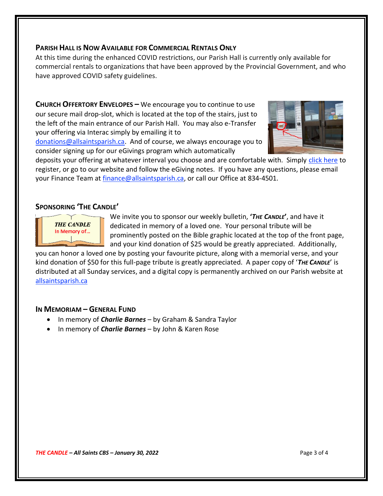#### **PARISH HALL IS NOW AVAILABLE FOR COMMERCIAL RENTALS ONLY**

At this time during the enhanced COVID restrictions, our Parish Hall is currently only available for commercial rentals to organizations that have been approved by the Provincial Government, and who have approved COVID safety guidelines.

**CHURCH OFFERTORY ENVELOPES –** We encourage you to continue to use our secure mail drop-slot, which is located at the top of the stairs, just to the left of the main entrance of our Parish Hall. You may also e-Transfer your offering via Interac simply by emailing it to

[donations@allsaintsparish.ca.](mailto:donations@allsaintsparish.ca) And of course, we always encourage you to consider signing up for our eGivings program which automatically



deposits your offering at whatever interval you choose and are comfortable with. Simply [click here](http://allsaintsparish.ca/egiving-online-information-form) to register, or go to our website and follow the eGiving notes. If you have [any](https://wfsites-to.websitecreatorprotool.com/870a5dd5.com/Admin/%7BSK_NODEID__22939341__SK%7D) questions, please email your Finance Team at *finance@allsaintsparish.ca*, or call our Office at 834-4501.

## **SPONSORING 'THE CANDLE'**



We invite you to sponsor our weekly bulletin, **'***THE CANDLE***'**, and have it dedicated in memory of a loved one. Your personal tribute will be prominently posted on the Bible graphic located at the top of the front page, and your kind donation of \$25 would be greatly appreciated. Additionally,

you can honor a loved one by posting your favourite picture, along with a memorial verse, and your kind donation of \$50 for this full-page tribute is greatly appreciated. A paper copy of '*THE CANDLE*' is distributed at all Sunday services, and a digital copy is permanently archived on our Parish website at [allsaintsparish.ca](http://allsaintsparish.ca/thecandle.html)

## **IN MEMORIAM – GENERAL FUND**

- In memory of *Charlie Barnes* by Graham & Sandra Taylor
- In memory of *Charlie Barnes* by John & Karen Rose